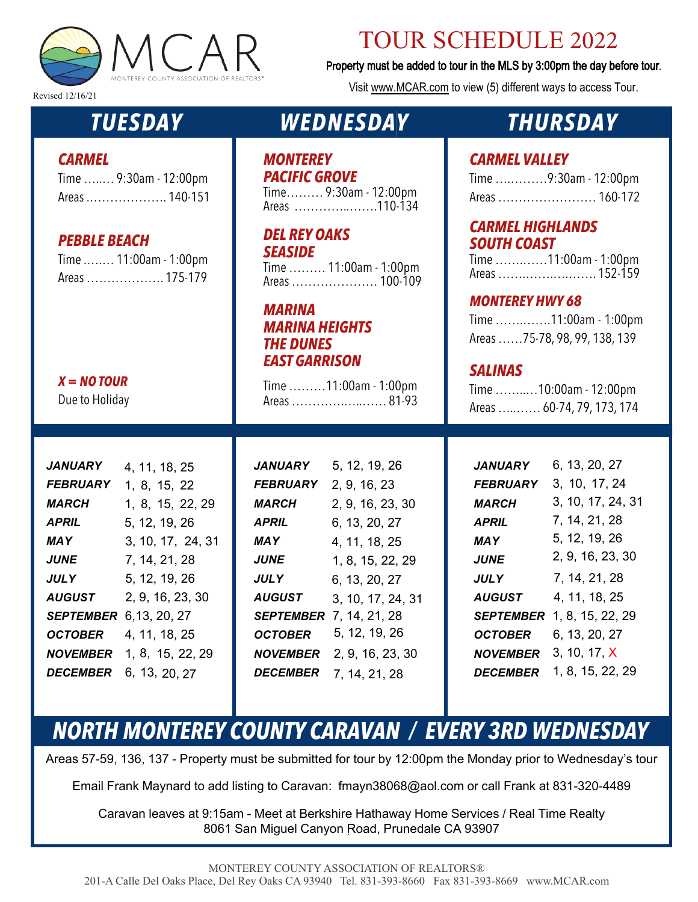

### TOUR SCHEDULE 2022

Property must be added to tour in the MLS by 3:00pm the day before tour.

Visit www.MCAR.com to view (5) different ways to access Tour.

Revised 12/16/21

# *TUESDAY*

#### *CARMEL*

| Time  9:30am - 12:00pm |  |
|------------------------|--|
| Areas  140-151         |  |

#### *PEBBLE BEACH*

| Time  11:00am - 1:00pm |
|------------------------|
| Areas  175-179         |

#### *X = NO TOUR*

Due to Holiday

| <b>JANUARY</b>                | 4, 11, 18, 25                    |
|-------------------------------|----------------------------------|
| <b>FEBRUARY</b>               | 1, 8, 15, 22                     |
| <i><b>MARCH</b></i>           | 1, 8, 15, 22, 29                 |
| APRIL                         | 5, 12, 19, 26                    |
| <b>MAY</b>                    | 3, 10, 17, 24, 31                |
| <i>JUNE</i>                   | 7, 14, 21, 28                    |
| <b>JULY</b>                   | 5, 12, 19, 26                    |
| <b>AUGUST</b>                 | 2, 9, 16, 23, 30                 |
| <b>SEPTEMBER</b> 6,13, 20, 27 |                                  |
| <b>OCTOBER</b>                | 4, 11, 18, 25                    |
|                               | <b>NOVEMBER</b> 1, 8, 15, 22, 29 |
| <i><b>DECEMBER</b></i>        | 6, 13, 20, 27                    |

### *WEDNESDAY*

# *MONTEREY*

*PACIFIC GROVE* Time……… 9:30am - 12:00pm Areas …………..…….110-134

*DEL REY OAKS SEASIDE*

Time ……… 11:00am - 1:00pm Areas ………………… 100-109

*MARINA MARINA HEIGHTS THE DUNES EAST GARRISON*

Time ………11:00am - 1:00pm Areas ………….…..…… 81-93

*JANUARY FEBRUARY* 2, 9, 16, 23 *MARCH APRIL MAY JUNE JULY AUGUST SEPTEMBER* 7, 14, 21, 28 *OCTOBER NOVEMBER* 2, 9, 16, 23, 30 *DECEMBER* 7, 14, 21, 28 5, 12, 19, 26 2, 9, 16, 23, 30 6, 13, 20, 27 4, 11, 18, 25 1, 8, 15, 22, 29 6, 13, 20, 27 3, 10, 17, 24, 31 5, 12, 19, 26

## *THURSDAY*

#### *CARMEL VALLEY*

| Time 9:30am - 12:00pm |
|-----------------------|
| Areas  160-172        |

#### *CARMEL HIGHLANDS SOUTH COAST*

Time …….……11:00am - 1:00pm Areas …….…….….……. 152-159

#### *MONTEREY HWY 68*

Time …….…….11:00am - 1:00pm Areas ……75-78, 98, 99, 138, 139

#### *SALINAS*

Time ……..…10:00am - 12:00pm Areas …..…… 60-74, 79, 173, 174

| <i><b>JANUARY</b></i>   | 6, 13, 20, 27     |
|-------------------------|-------------------|
| <i><b>FEBRUARY</b></i>  | 3, 10, 17, 24     |
| <i><b>MARCH</b></i>     | 3, 10, 17, 24, 31 |
| <b>APRIL</b>            | 7, 14, 21, 28     |
| MAY                     | 5, 12, 19, 26     |
| <i>JUNE</i>             | 2, 9, 16, 23, 30  |
| JULY                    | 7, 14, 21, 28     |
| <b>AUGUST</b>           | 4, 11, 18, 25     |
| <i><b>SEPTEMBER</b></i> | 1, 8, 15, 22, 29  |
| <i>OCTOBER</i>          | 6, 13, 20, 27     |
| <i><b>NOVEMBER</b></i>  | 3, 10, 17, X      |
| <i><b>DECEMBER</b></i>  | 1, 8, 15, 22, 29  |
|                         |                   |

# *NORTH MONTEREY COUNTY CARAVAN / EVERY 3RD WEDNESDAY*

Areas 57-59, 136, 137 - Property must be submitted for tour by 12:00pm the Monday prior to Wednesday's tour

Email Frank Maynard to add listing to Caravan: fmayn38068@aol.com or call Frank at 831-320-4489

Caravan leaves at 9:15am - Meet at Berkshire Hathaway Home Services / Real Time Realty 8061 San Miguel Canyon Road, Prunedale CA 93907